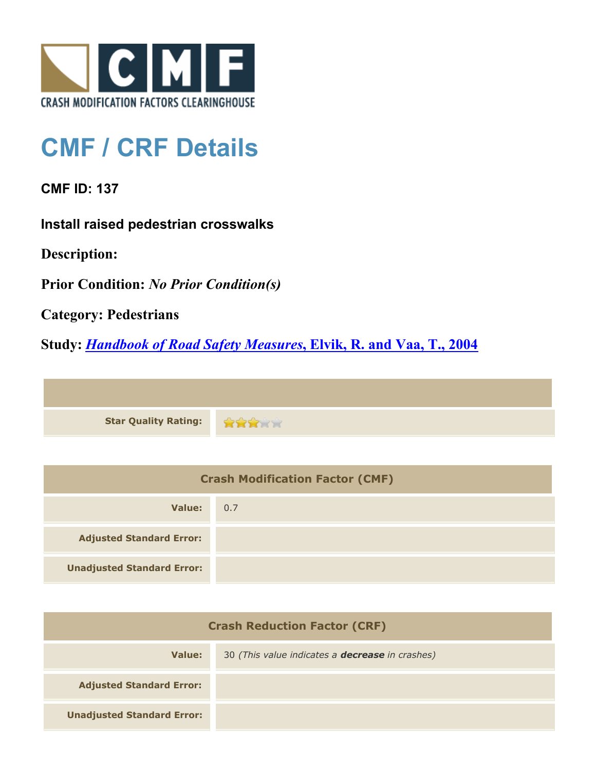

## **CMF / CRF Details**

**CMF ID: 137**

**Install raised pedestrian crosswalks**

**Description:** 

**Prior Condition:** *No Prior Condition(s)*

**Category: Pedestrians**

**Study:** *[Handbook of Road Safety Measures](http://www.cmfclearinghouse.org/study_detail.cfm?stid=14)***[, Elvik, R. and Vaa, T., 2004](http://www.cmfclearinghouse.org/study_detail.cfm?stid=14)**



| <b>Crash Modification Factor (CMF)</b> |     |
|----------------------------------------|-----|
| Value:                                 | 0.7 |
| <b>Adjusted Standard Error:</b>        |     |
| <b>Unadjusted Standard Error:</b>      |     |

| <b>Crash Reduction Factor (CRF)</b> |                                                        |
|-------------------------------------|--------------------------------------------------------|
| Value:                              | 30 (This value indicates a <b>decrease</b> in crashes) |
| <b>Adjusted Standard Error:</b>     |                                                        |
| <b>Unadjusted Standard Error:</b>   |                                                        |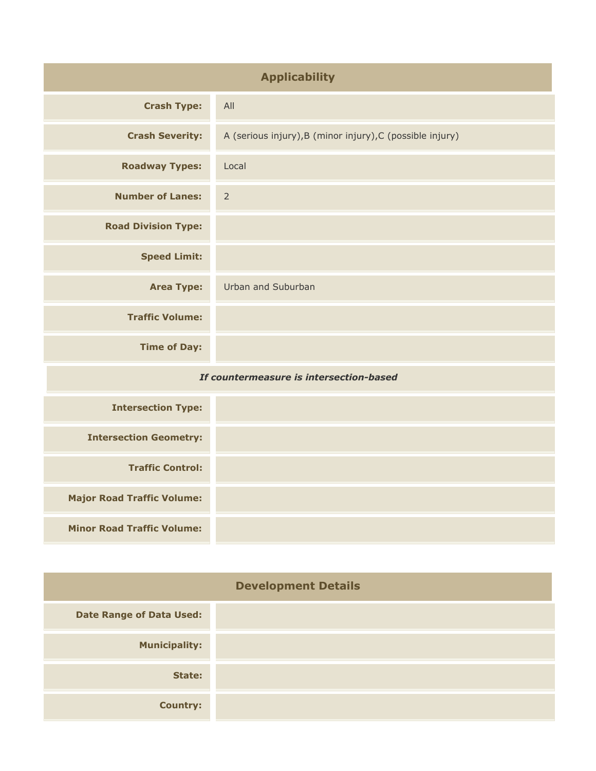| <b>Applicability</b>                    |                                                           |
|-----------------------------------------|-----------------------------------------------------------|
| <b>Crash Type:</b>                      | All                                                       |
| <b>Crash Severity:</b>                  | A (serious injury), B (minor injury), C (possible injury) |
| <b>Roadway Types:</b>                   | Local                                                     |
| <b>Number of Lanes:</b>                 | $\overline{2}$                                            |
| <b>Road Division Type:</b>              |                                                           |
| <b>Speed Limit:</b>                     |                                                           |
| <b>Area Type:</b>                       | Urban and Suburban                                        |
| <b>Traffic Volume:</b>                  |                                                           |
| <b>Time of Day:</b>                     |                                                           |
| If countermeasure is intersection-based |                                                           |
| <b>Intersection Type:</b>               |                                                           |
| <b>Intersection Geometry:</b>           |                                                           |
| <b>Traffic Control:</b>                 |                                                           |
| <b>Major Road Traffic Volume:</b>       |                                                           |
| <b>Minor Road Traffic Volume:</b>       |                                                           |